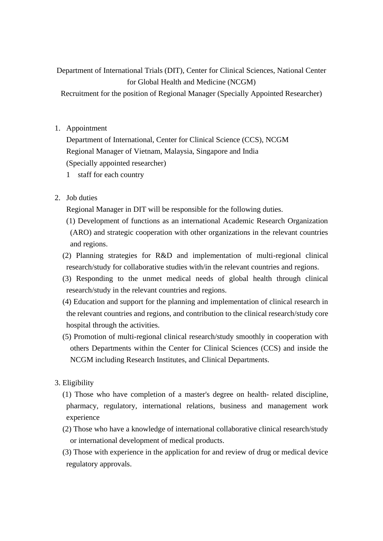Department of International Trials (DIT), Center for Clinical Sciences, National Center for Global Health and Medicine (NCGM)

Recruitment for the position of Regional Manager (Specially Appointed Researcher)

1. Appointment

Department of International, Center for Clinical Science (CCS), NCGM Regional Manager of Vietnam, Malaysia, Singapore and India (Specially appointed researcher)

- 1 staff for each country
- 2. Job duties

Regional Manager in DIT will be responsible for the following duties.

- (1) Development of functions as an international Academic Research Organization (ARO) and strategic cooperation with other organizations in the relevant countries and regions.
- (2) Planning strategies for R&D and implementation of multi-regional clinical research/study for collaborative studies with/in the relevant countries and regions.
- (3) Responding to the unmet medical needs of global health through clinical research/study in the relevant countries and regions.
- (4) Education and support for the planning and implementation of clinical research in the relevant countries and regions, and contribution to the clinical research/study core hospital through the activities.
- (5) Promotion of multi-regional clinical research/study smoothly in cooperation with others Departments within the Center for Clinical Sciences (CCS) and inside the NCGM including Research Institutes, and Clinical Departments.
- 3. Eligibility
	- (1) Those who have completion of a master's degree on health- related discipline, pharmacy, regulatory, international relations, business and management work experience
	- (2) Those who have a knowledge of international collaborative clinical research/study or international development of medical products.

(3) Those with experience in the application for and review of drug or medical device regulatory approvals.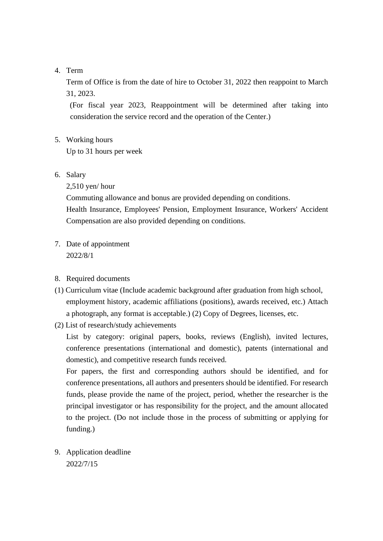## 4. Term

Term of Office is from the date of hire to October 31, 2022 then reappoint to March 31, 2023.

(For fiscal year 2023, Reappointment will be determined after taking into consideration the service record and the operation of the Center.)

5. Working hours

Up to 31 hours per week

6. Salary

2,510 yen/ hour

Commuting allowance and bonus are provided depending on conditions.

Health Insurance, Employees' Pension, Employment Insurance, Workers' Accident Compensation are also provided depending on conditions.

- 7. Date of appointment 2022/8/1
- 8. Required documents
- (1) Curriculum vitae (Include academic background after graduation from high school, employment history, academic affiliations (positions), awards received, etc.) Attach a photograph, any format is acceptable.) (2) Copy of Degrees, licenses, etc.
- (2) List of research/study achievements

List by category: original papers, books, reviews (English), invited lectures, conference presentations (international and domestic), patents (international and domestic), and competitive research funds received.

For papers, the first and corresponding authors should be identified, and for conference presentations, all authors and presenters should be identified. For research funds, please provide the name of the project, period, whether the researcher is the principal investigator or has responsibility for the project, and the amount allocated to the project. (Do not include those in the process of submitting or applying for funding.)

9. Application deadline 2022/7/15